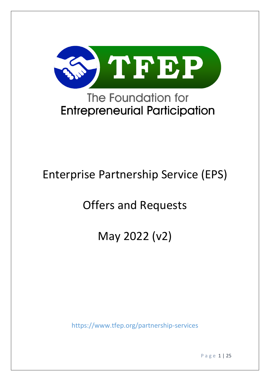

# **Entrepreneurial Participation**

# Enterprise Partnership Service (EPS)

# Offers and Requests

# May 2022 (v2)

<https://www.tfep.org/partnership-services>

P a g e 1 | 25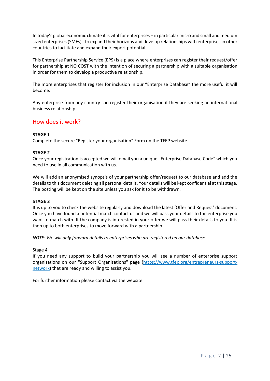In today's global economic climate it is vital for enterprises – in particular micro and small and medium sized enterprises (SMEs) - to expand their horizons and develop relationships with enterprises in other countries to facilitate and expand their export potential.

This Enterprise Partnership Service (EPS) is a place where enterprises can register their request/offer for partnership at NO COST with the intention of securing a partnership with a suitable organisation in order for them to develop a productive relationship.

The more enterprises that register for inclusion in our "Enterprise Database" the more useful it will become.

Any enterprise from any country can register their organisation if they are seeking an international business relationship.

#### How does it work?

#### **STAGE 1**

Complete the secure "Register your organisation" Form on the TFEP website.

#### **STAGE 2**

Once your registration is accepted we will email you a unique "Enterprise Database Code" which you need to use in all communication with us.

We will add an anonymised synopsis of your partnership offer/request to our database and add the details to this document deleting all personal details. Your details will be kept confidential at this stage. The posting will be kept on the site unless you ask for it to be withdrawn.

#### **STAGE 3**

It is up to you to check the website regularly and download the latest 'Offer and Request' document. Once you have found a potential match contact us and we will pass your details to the enterprise you want to match with. If the company is interested in your offer we will pass their details to you. It is then up to both enterprises to move forward with a partnership.

*NOTE: We will only forward details to enterprises who are registered on our database.*

#### Stage 4

If you need any support to build your partnership you will see a number of enterprise support organisations on our "Support Organisations" page [\(https://www.tfep.org/entrepreneurs-support](https://www.tfep.org/entrepreneurs-support-network)[network\)](https://www.tfep.org/entrepreneurs-support-network) that are ready and willing to assist you.

For further information please contact via the website.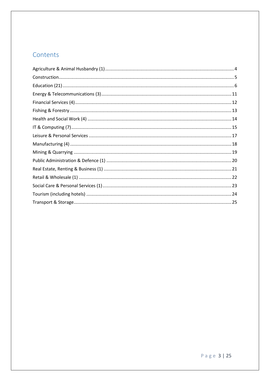#### Contents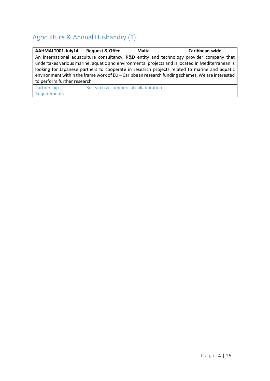# <span id="page-3-0"></span>Agriculture & Animal Husbandry (1)

| AAHMALT001-July14                                                                               | <b>Request &amp; Offer</b>                                                                       | Malta | Caribbean-wide |
|-------------------------------------------------------------------------------------------------|--------------------------------------------------------------------------------------------------|-------|----------------|
|                                                                                                 | An international aquaculture consultancy, R&D entity and technology provider company that        |       |                |
|                                                                                                 | undertakes various marine, aquatic and environmental projects and is located in Mediterranean is |       |                |
|                                                                                                 | looking for Japanese partners to cooperate in research projects related to marine and aquatic    |       |                |
| environment within the frame work of EU - Caribbean research funding schemes, We are interested |                                                                                                  |       |                |
| to perform further research.                                                                    |                                                                                                  |       |                |
| Partnership                                                                                     | Research & commercial collaboration.                                                             |       |                |
| Requirements                                                                                    |                                                                                                  |       |                |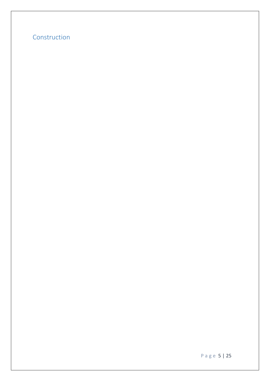#### <span id="page-4-0"></span>Construction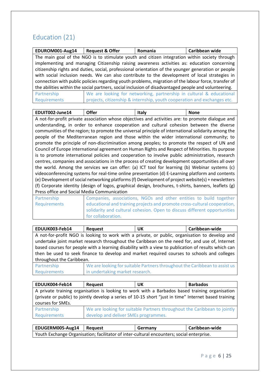#### <span id="page-5-0"></span>Education (21)

| EDUROM001-Aug14                                                                                      | <b>Request &amp; Offer</b>                                                                          | <b>Romania</b>                                                           | Caribbean wide |
|------------------------------------------------------------------------------------------------------|-----------------------------------------------------------------------------------------------------|--------------------------------------------------------------------------|----------------|
|                                                                                                      | The main goal of the NGO is to stimulate youth and citizen integration within society through       |                                                                          |                |
|                                                                                                      | implementing and managing Citizenship raising awareness activities as: education concerning         |                                                                          |                |
|                                                                                                      | citizenship rights and duties, social, professional orientation of the younger generation or people |                                                                          |                |
|                                                                                                      | with social inclusion needs. We can also contribute to the development of local strategies in       |                                                                          |                |
| connection with public policies regarding youth problems, migration of the labour force, transfer of |                                                                                                     |                                                                          |                |
| the abilities within the social partners, social inclusion of disadvantaged people and volunteering. |                                                                                                     |                                                                          |                |
| Partnership                                                                                          |                                                                                                     | We are looking for networking, partnership in cultural & educational     |                |
| Requirements                                                                                         |                                                                                                     | projects, citizenship & internship, youth cooperation and exchanges etc. |                |

| EDUIT002-June14 | <b>Offer</b> | Italy                                                                                             | <b>None</b> |
|-----------------|--------------|---------------------------------------------------------------------------------------------------|-------------|
|                 |              | A not-for-profit private association whose objectives and activities are: to promote dialogue and |             |

understanding, in order to enhance cooperation and cultural cohesion between the diverse communities of the region; to promote the universal principle of international solidarity among the people of the Mediterranean region and those within the wider international community; to promote the principle of non-discrimination among peoples; to promote the respect of UN and Council of Europe international agreement on Human Rights and Respect of Minorities. Its purpose is to promote international policies and cooperation to involve public administration, research centres, companies and associations in the process of creating development opportunities all over the world. Among the services we can offer: (a) ICT tool for learning (b) Webinar systems (c) videoconferencing systems for real-time online presentation (d) E-Learning platform and contents (e) Development of social networking platforms (f) Development of project website(s) + newsletters (f) Corporate identity (design of logos, graphical design, brochures, t-shirts, banners, leaflets (g) Press office and Social Media Communication

| Partnership  | Companies, associations, NGOs and other entities to build together        |
|--------------|---------------------------------------------------------------------------|
| Requirements | educational and training projects and promote cross-cultural cooperation, |
|              | solidarity and cultural cohesion. Open to discuss different opportunities |
|              | for collaboration.                                                        |

| EDUUK003-Feb14                                                                                      | Request                                                                                        | UK                                                                                                                                                                                                                                      | Caribbean-wide |  |
|-----------------------------------------------------------------------------------------------------|------------------------------------------------------------------------------------------------|-----------------------------------------------------------------------------------------------------------------------------------------------------------------------------------------------------------------------------------------|----------------|--|
|                                                                                                     |                                                                                                | A not-for-profit NGO is looking to work with a private, or public, organisation to develop and                                                                                                                                          |                |  |
|                                                                                                     | undertake joint market research throughout the Caribbean on the need for, and use of, Internet |                                                                                                                                                                                                                                         |                |  |
| based courses for people with a learning disability with a view to publication of results which can |                                                                                                |                                                                                                                                                                                                                                         |                |  |
| then be used to seek finance to develop and market required courses to schools and colleges         |                                                                                                |                                                                                                                                                                                                                                         |                |  |
| throughout the Caribbean.                                                                           |                                                                                                |                                                                                                                                                                                                                                         |                |  |
|                                                                                                     |                                                                                                | $\mathcal{A} \mathcal{A}$ and the set of the set of the set of the set of the set of the set of the set of the set of the set of the set of the set of the set of the set of the set of the set of the set of the set of the set of the |                |  |

Partnership Requirements We are looking for suitable Partners throughout the Caribbean to assist us in undertaking market research.

| EDUUK004-Feb14    | Request                              | UK                                                                                                    | <b>Barbados</b> |
|-------------------|--------------------------------------|-------------------------------------------------------------------------------------------------------|-----------------|
|                   |                                      | A private training organisation is looking to work with a Barbados based training organisation        |                 |
|                   |                                      | (private or public) to jointly develop a series of 10-15 short "just in time" Internet based training |                 |
| courses for SMEs. |                                      |                                                                                                       |                 |
| Partnership       |                                      | We are looking for suitable Partners throughout the Caribbean to jointly                              |                 |
| Requirements      | develop and deliver SMEs programmes. |                                                                                                       |                 |

| EDUGERM005-Aug14   Request                                                                |  | Germany | Caribbean-wide |
|-------------------------------------------------------------------------------------------|--|---------|----------------|
| Youth Exchange Organisation; facilitator of inter-cultural encounters; social enterprise. |  |         |                |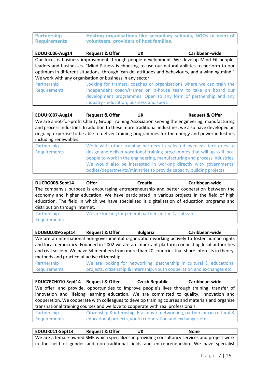**Partnership Requirements Hosting organisations like secondary schools, NGOs in need of volunteers, providers of host families.**

| EDUUK006-Aug14                                                                                   | <b>Request &amp; Offer</b>                                                                       | <b>UK</b>                                                             | Caribbean-wide |
|--------------------------------------------------------------------------------------------------|--------------------------------------------------------------------------------------------------|-----------------------------------------------------------------------|----------------|
|                                                                                                  | Our focus is business improvement through people development. We develop Mind Fit people,        |                                                                       |                |
|                                                                                                  | leaders and businesses. "Mind Fitness is choosing to use our natural abilities to perform to our |                                                                       |                |
| optimum in different situations, through 'can do' attitudes and behaviours, and a winning mind." |                                                                                                  |                                                                       |                |
| We work with any organisation or business in any sector.                                         |                                                                                                  |                                                                       |                |
| Partnership                                                                                      |                                                                                                  | Looking for trainers, coaches or organisations where we can train the |                |
| Requirements                                                                                     |                                                                                                  | independent coach/trainer or in-house team to take on board our       |                |
|                                                                                                  |                                                                                                  | development programmes. Open to any form of partnership and any       |                |
|                                                                                                  | industry - education, business and sport.                                                        |                                                                       |                |

| EDUUK007-Aug14                                                                                      | <b>Request &amp; Offer</b>                                                                        | UK                                                                    | <b>Request &amp; Offer</b> |
|-----------------------------------------------------------------------------------------------------|---------------------------------------------------------------------------------------------------|-----------------------------------------------------------------------|----------------------------|
|                                                                                                     | We are a not-for-profit Charity Group Training Association serving the engineering, manufacturing |                                                                       |                            |
| and process industries. In addition to these more traditional industries, we also have developed an |                                                                                                   |                                                                       |                            |
| ongoing expertise to be able to deliver training programmes for the energy and power industries     |                                                                                                   |                                                                       |                            |
| including renewables.                                                                               |                                                                                                   |                                                                       |                            |
| Partnership                                                                                         |                                                                                                   | Work with other training partners in selected overseas territories to |                            |

| <b>U</b> GILLOIDIN | <b>TO A SECOND CONTRACT COMMUNIST PUTCHERS</b> IN SCIECICO OVERSEGG COMMUNICS CO |
|--------------------|----------------------------------------------------------------------------------|
| Requirements       | design and deliver vocational training programmes that will up-skill local       |
|                    | people to work in the engineering, manufacturing and process industries.         |
|                    | We would also be interested in working directly with governmental                |
|                    | bodies/departments/ministries to provide capacity building projects.             |

| DUCRO008-Sept14                                                                               | <b>Offer</b>                                                                             | Croatia                                                         | Caribbean-wide |
|-----------------------------------------------------------------------------------------------|------------------------------------------------------------------------------------------|-----------------------------------------------------------------|----------------|
|                                                                                               | The company's purpose is encouraging entrepreneurship and better cooperation between the |                                                                 |                |
| economy and higher education. We have participated in various projects in the field of high   |                                                                                          |                                                                 |                |
| education. The field in which we have specialized is digitalization of education programs and |                                                                                          |                                                                 |                |
| distribution through Internet.                                                                |                                                                                          |                                                                 |                |
| a Provincial concept from                                                                     |                                                                                          | AATA waa daadka a faaraas waxaa lagaan waxa ta dhaa Gaalka waxa |                |

| Partnership  | We are looking for general partners in the Caribbean. |
|--------------|-------------------------------------------------------|
| Requirements |                                                       |

| <b>Request &amp; Offer</b>                                                                        | <b>Bulgaria</b> | Caribbean-wide                                                                                                                                                                                                                                    |  |
|---------------------------------------------------------------------------------------------------|-----------------|---------------------------------------------------------------------------------------------------------------------------------------------------------------------------------------------------------------------------------------------------|--|
|                                                                                                   |                 |                                                                                                                                                                                                                                                   |  |
| and local democracy. Founded in 2002 we are an important platform connecting local authorities    |                 |                                                                                                                                                                                                                                                   |  |
| and civil society. We have 54 members from more than 20 countries that share interests in theory, |                 |                                                                                                                                                                                                                                                   |  |
| methods and practice of active citizenship.                                                       |                 |                                                                                                                                                                                                                                                   |  |
|                                                                                                   |                 |                                                                                                                                                                                                                                                   |  |
|                                                                                                   |                 |                                                                                                                                                                                                                                                   |  |
|                                                                                                   |                 | We are an international non-governmental organization working actively to foster human rights<br>We are looking for networking, partnership in cultural & educational<br>projects, citizenship & internship, youth cooperation and exchanges etc. |  |

| EDUCZECH010-Sept14   Request & Offer                                                             |                                                                                              | <b>Czech Republic</b>                                                      | Caribbean-wide |
|--------------------------------------------------------------------------------------------------|----------------------------------------------------------------------------------------------|----------------------------------------------------------------------------|----------------|
|                                                                                                  | We offer, and provide, opportunities to improve people's lives through training, transfer of |                                                                            |                |
| innovation and lifelong learning education. We are committed to quality, innovation and          |                                                                                              |                                                                            |                |
| cooperation. We cooperate with colleagues to develop training courses and materials and organize |                                                                                              |                                                                            |                |
| transnational training courses and we love to cooperate with real professionals.                 |                                                                                              |                                                                            |                |
| Partnership                                                                                      |                                                                                              | Citizenship & internship, Erasmus +, networking, partnership in cultural & |                |
| Requirements                                                                                     |                                                                                              | educational projects, youth cooperation and exchanges etc.                 |                |
|                                                                                                  |                                                                                              |                                                                            |                |

**EDUUK011-Sept14 Request & Offer UK None** We are a female-owned SME which specializes in providing consultancy services and project work in the field of gender and non-traditional fields and entrepreneurship. We have specialist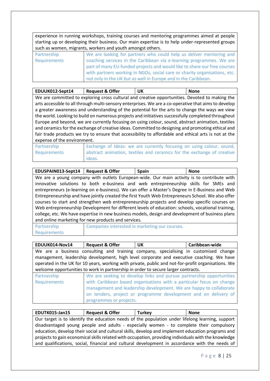experience in running workshops, training courses and mentoring programmes aimed at people starting up or developing their business. Our main expertise is to help under-represented groups such as women, migrants, workers and youth amongst others.

| Partnership  | We are looking for partners who could help us deliver mentoring and       |
|--------------|---------------------------------------------------------------------------|
| Requirements | coaching services in the Caribbean via e-learning programmes. We are      |
|              | part of many EU-funded projects and would like to share our free courses  |
|              | with partners working in NGOs, social care or charity organisations, etc. |
|              | not only in the UK but as well in Europe and in the Caribbean.            |

| EDUUK012-Sept14                                                                                      | <b>Request &amp; Offer</b>                                                                           | <b>UK</b> | <b>None</b> |
|------------------------------------------------------------------------------------------------------|------------------------------------------------------------------------------------------------------|-----------|-------------|
|                                                                                                      | We are committed to exploring cross cultural and creative opportunities. Devoted to making the       |           |             |
|                                                                                                      | arts accessible to all through multi-sensory enterprises. We are a co-operative that aims to develop |           |             |
|                                                                                                      | a greater awareness and understanding of the potential for the arts to change the ways we view       |           |             |
| the world. Looking to build on numerous projects and initiatives successfully completed throughout   |                                                                                                      |           |             |
| Europe and beyond, we are currently focusing on using colour, sound, abstract animation, textiles    |                                                                                                      |           |             |
| and ceramics for the exchange of creative ideas. Committed to designing and promoting ethical and    |                                                                                                      |           |             |
| fair trade products we try to ensure that accessibility to affordable and ethical arts is not at the |                                                                                                      |           |             |
| expense of the environment.                                                                          |                                                                                                      |           |             |
|                                                                                                      |                                                                                                      |           |             |

| Partnership  | Exchange of Ideas: we are currently focusing on using colour, sound,   |
|--------------|------------------------------------------------------------------------|
| Requirements | abstract animation, textiles and ceramics for the exchange of creative |
|              | ideas.                                                                 |

| EDUSPAIN013-Sept14                                                                                | <b>Request &amp; Offer</b>                                                                        | <b>Spain</b>                                                                                   | <b>None</b> |  |
|---------------------------------------------------------------------------------------------------|---------------------------------------------------------------------------------------------------|------------------------------------------------------------------------------------------------|-------------|--|
|                                                                                                   | We are a young company with outlets European-wide. Our main activity is to contribute with        |                                                                                                |             |  |
|                                                                                                   |                                                                                                   | innovative solutions to both e-business and web entrepreneurship skills for SMEs and           |             |  |
|                                                                                                   |                                                                                                   | entrepreneurs (e-learning on e-business). We can offer a Master's Degree in E-Business and Web |             |  |
|                                                                                                   | Entrepreneurship and have jointly created the first Youth Web Entrepreneurs School. We also offer |                                                                                                |             |  |
| courses to start and strengthen web entrepreneurship projects and develop specific courses on     |                                                                                                   |                                                                                                |             |  |
| Web entrepreneurship Development for different levels of education: schools, vocational training, |                                                                                                   |                                                                                                |             |  |
| college, etc. We have expertise in new business models, design and development of business plans  |                                                                                                   |                                                                                                |             |  |
| and online marketing for new products and services.                                               |                                                                                                   |                                                                                                |             |  |
| Partnership                                                                                       |                                                                                                   | Companies interested in marketing our courses.                                                 |             |  |
| <b>Requirements</b>                                                                               |                                                                                                   |                                                                                                |             |  |

| EDUUK014-Nov14                                                                                                                                                                   | <b>Request &amp; Offer</b> | UK.                                                                                                                                                                                                           | Caribbean-wide |  |
|----------------------------------------------------------------------------------------------------------------------------------------------------------------------------------|----------------------------|---------------------------------------------------------------------------------------------------------------------------------------------------------------------------------------------------------------|----------------|--|
| We are a business consulting and training company, specialising in customised change<br>management, leadership development, high level corporate and executive coaching. We have |                            |                                                                                                                                                                                                               |                |  |
| operated in the UK for 10 years, working with private, public and not-for-profit organisations. We                                                                               |                            |                                                                                                                                                                                                               |                |  |
| welcome opportunities to work in partnership in order to secure larger contracts.                                                                                                |                            |                                                                                                                                                                                                               |                |  |
| Partnership                                                                                                                                                                      |                            | We are seeking to develop links and pursue partnership opportunities                                                                                                                                          |                |  |
| <b>Requirements</b>                                                                                                                                                              | programmes or projects.    | with Caribbean based organisations with a particular focus on change<br>management and leadership development. We are happy to collaborate<br>on tenders, project or programme development and on delivery of |                |  |

| EDUTK015-Jan15                                                                                       | <b>Request &amp; Offer</b>                                                                       | <b>Turkey</b> | <b>None</b> |  |
|------------------------------------------------------------------------------------------------------|--------------------------------------------------------------------------------------------------|---------------|-------------|--|
|                                                                                                      | Our target is to identify the education needs of the population under lifelong learning, support |               |             |  |
| disadvantaged young people and adults - especially women - to complete their compulsory              |                                                                                                  |               |             |  |
| education, develop their social and cultural skills, develop and implement education programs and    |                                                                                                  |               |             |  |
| projects to gain economical skills related with occupation, providing individuals with the knowledge |                                                                                                  |               |             |  |
|                                                                                                      | and qualifications, social, financial and cultural development in accordance with the needs of   |               |             |  |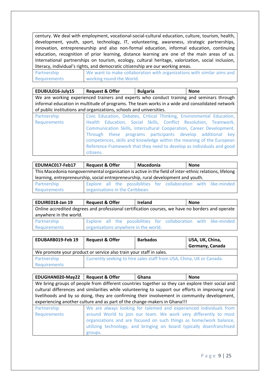century. We deal with employment, vocational-social-cultural education, culture, tourism, health, development, youth, sport, technology, IT, volunteering, awareness, strategic partnerships, innovation, entrepreneurship and also non-formal education, informal education, continuing education, recognition of prior learning, distance learning are one of the main areas of us. International partnerships on tourism, ecology, cultural heritage, valorization, social inclusion, literacy, individual's rights, and democratic citizenship are our working areas.

| Partnership  | We want to make collaboration with organizations with similar aims and |
|--------------|------------------------------------------------------------------------|
| Requirements | working round the World.                                               |

**EDUBUL016-July15 Request & Offer Bulgaria None** We are working experienced trainers and experts who conduct training and seminars through informal education in multitude of programs. The team works in a wide and consolidated network of public institutions and organizations, schools and universities.

| Partnership  | Civic Education, Debates, Critical Thinking, Environmental Education, |
|--------------|-----------------------------------------------------------------------|
| Requirements | Health Education, Social Skills, Conflict Resolution, Teamwork,       |
|              | Communication Skills, Intercultural Cooperation, Career Development.  |
|              | Through these programs participants develop additional key            |
|              | competences, skills and knowledge within the meaning of the European  |
|              | Reference Framework that they need to develop as individuals and good |
|              | citizens.                                                             |

| EDUMAC017-Feb17                                                                                                 | <b>Request &amp; Offer</b> | Macedonia | None |
|-----------------------------------------------------------------------------------------------------------------|----------------------------|-----------|------|
| This Macedonia nongovernmental organisation is active in the field of inter-ethnic relations, lifelong          |                            |           |      |
| learning, entrepreneurship, social entrepreneurship, rural development and youth.                               |                            |           |      |
| the contract of the contract of the contract of the contract of the contract of the contract of the contract of |                            |           |      |

Partnership Requirements Explore all the possibilities for collaboration with like-minded organisations in the Caribbean.

| EDUIRE018-Jan 19       | <b>Request &amp; Offer</b>           | Ireland                                                                                          | <b>None</b> |
|------------------------|--------------------------------------|--------------------------------------------------------------------------------------------------|-------------|
|                        |                                      | Online accredited degrees and professional certification courses, we have no borders and operate |             |
| anywhere in the world. |                                      |                                                                                                  |             |
| Partnership            |                                      | Explore all the possibilities for collaboration with like-minded                                 |             |
| Requirements           | organisations anywhere in the world. |                                                                                                  |             |

| EDUBARB019-Feb 19                                                  | <b>Request &amp; Offer</b>                                           | <b>Barbados</b> | USA, UK, China,<br>Germany, Canada |  |
|--------------------------------------------------------------------|----------------------------------------------------------------------|-----------------|------------------------------------|--|
| We promote your product or service also train your staff in sales. |                                                                      |                 |                                    |  |
| Partnership                                                        | Currently seeking to hire sales staff from USA, China, UK or Canada. |                 |                                    |  |
| <b>Requirements</b>                                                |                                                                      |                 |                                    |  |

| EDUGHAN020-May22   Request & Offer |                                                                                                    | Ghana                                                                 | <b>None</b> |
|------------------------------------|----------------------------------------------------------------------------------------------------|-----------------------------------------------------------------------|-------------|
|                                    | We bring groups of people from different countries together so they can explore their social and   |                                                                       |             |
|                                    | cultural differences and similarities while volunteering to support our efforts in improving rural |                                                                       |             |
|                                    | livelihoods and by so doing, they are confirming their involvement in community development,       |                                                                       |             |
|                                    | experiencing another culture and as part of the change-makers in Ghana!!!                          |                                                                       |             |
| Partnership                        |                                                                                                    | We are always looking for talented and experienced individuals from   |             |
| Requirements                       |                                                                                                    | around World to join our team. We work very differently to most       |             |
|                                    |                                                                                                    | organizations and are focused on such things as home/work balance,    |             |
|                                    |                                                                                                    | utilizing technology, and bringing on board typically disenfranchised |             |
|                                    | groups.                                                                                            |                                                                       |             |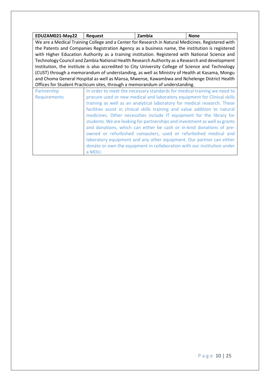<span id="page-9-0"></span>

| EDUZAM021-May22                                                      | <b>Request</b>                                                                                     | Zambia                                                                      | <b>None</b> |  |
|----------------------------------------------------------------------|----------------------------------------------------------------------------------------------------|-----------------------------------------------------------------------------|-------------|--|
|                                                                      | We are a Medical Training College and a Center for Research in Natural Medicines. Registered with  |                                                                             |             |  |
|                                                                      | the Patents and Companies Registration Agency as a business name, the institution is registered    |                                                                             |             |  |
|                                                                      | with Higher Education Authority as a training institution. Registered with National Science and    |                                                                             |             |  |
|                                                                      | Technology Council and Zambia National Health Research Authority as a Research and development     |                                                                             |             |  |
|                                                                      | Institution, the institute is also accredited to City University College of Science and Technology |                                                                             |             |  |
|                                                                      | (CUST) through a memorandum of understanding, as well as Ministry of Health at Kasama, Mongu       |                                                                             |             |  |
|                                                                      | and Choma General Hospital as well as Mansa, Mwense, Kawambwa and Nchelenge District Health        |                                                                             |             |  |
|                                                                      | Offices for Student Practicum sites, through a memorandum of understanding.                        |                                                                             |             |  |
| Partnership                                                          |                                                                                                    | In order to meet the necessary standards for medical training we need to    |             |  |
| <b>Requirements</b>                                                  |                                                                                                    | procure used or new medical and laboratory equipment for Clinical skills    |             |  |
|                                                                      |                                                                                                    | training as well as an analytical laboratory for medical research. These    |             |  |
|                                                                      |                                                                                                    | facilities assist in clinical skills training and value addition to natural |             |  |
|                                                                      |                                                                                                    | medicines. Other necessities include IT equipment for the library for       |             |  |
|                                                                      |                                                                                                    | students. We are looking for partnerships and investment as well as grants  |             |  |
| and donations, which can either be cash or in-kind donations of pre- |                                                                                                    |                                                                             |             |  |
|                                                                      | owned or refurbished computers, used or refurbished medical and                                    |                                                                             |             |  |
|                                                                      |                                                                                                    | laboratory equipment and any other equipment. Our partner can either        |             |  |
|                                                                      |                                                                                                    | donate or own the equipment in collaboration with our institution under     |             |  |
|                                                                      | a MOU.                                                                                             |                                                                             |             |  |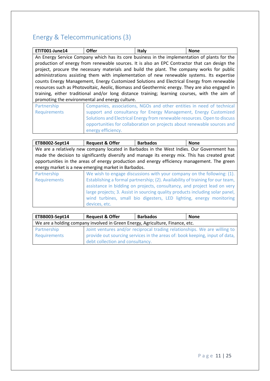# Energy & Telecommunications (3)

| ETIT001-June14                                                            | <b>Offer</b>                                                                                    | <b>Italy</b>                                                            | <b>None</b> |
|---------------------------------------------------------------------------|-------------------------------------------------------------------------------------------------|-------------------------------------------------------------------------|-------------|
|                                                                           | An Energy Service Company which has its core business in the implementation of plants for the   |                                                                         |             |
|                                                                           | production of energy from renewable sources. It is also an EPC Contractor that can design the   |                                                                         |             |
|                                                                           | project, procure the necessary materials and build the plant. The company works for public      |                                                                         |             |
|                                                                           | administrations assisting them with implementation of new renewable systems. Its expertise      |                                                                         |             |
|                                                                           | counts Energy Management, Energy Customized Solutions and Electrical Energy from renewable      |                                                                         |             |
|                                                                           | resources such as Photovoltaic, Aeolic, Biomass and Geothermic energy. They are also engaged in |                                                                         |             |
|                                                                           | training, either traditional and/or long distance training; learning courses, with the aim of   |                                                                         |             |
| promoting the environmental and energy culture.                           |                                                                                                 |                                                                         |             |
| Partnership                                                               |                                                                                                 | Companies, associations, NGOs and other entities in need of technical   |             |
| <b>Requirements</b>                                                       |                                                                                                 | support and consultancy for Energy Management, Energy Customized        |             |
| Solutions and Electrical Energy from renewable resources. Open to discuss |                                                                                                 |                                                                         |             |
|                                                                           |                                                                                                 | opportunities for collaboration on projects about renewable sources and |             |
|                                                                           | energy efficiency.                                                                              |                                                                         |             |

| ETBB002-Sept14      | <b>Request &amp; Offer</b>                          | <b>Barbados</b>                                                                                | <b>None</b> |
|---------------------|-----------------------------------------------------|------------------------------------------------------------------------------------------------|-------------|
|                     |                                                     | We are a relatively new company located in Barbados in the West Indies. Our Government has     |             |
|                     |                                                     | made the decision to significantly diversify and manage its energy mix. This has created great |             |
|                     |                                                     | opportunities in the areas of energy production and energy efficiency management. The green    |             |
|                     | energy market is a new emerging market in Barbados. |                                                                                                |             |
| Partnership         |                                                     | We wish to engage discussions with your company on the following: (1).                         |             |
| <b>Requirements</b> |                                                     | Establishing a formal partnership; (2). Availability of training for our team,                 |             |
|                     |                                                     | assistance in bidding on projects, consultancy, and project lead on very                       |             |
|                     |                                                     | large projects; 3. Assist in sourcing quality products including solar panel,                  |             |
|                     |                                                     | wind turbines, small bio digesters, LED lighting, energy monitoring                            |             |
|                     | devices, etc.                                       |                                                                                                |             |

| ETBB003-Sept14                                                                | <b>Request &amp; Offer</b>       | <b>Barbados</b>                                                                                                                                          | <b>None</b> |
|-------------------------------------------------------------------------------|----------------------------------|----------------------------------------------------------------------------------------------------------------------------------------------------------|-------------|
| We are a holding company involved in Green Energy, Agriculture, Finance, etc. |                                  |                                                                                                                                                          |             |
| Partnership<br>Requirements                                                   |                                  | Joint ventures and/or reciprocal trading relationships. We are willing to<br>provide out sourcing services in the areas of: book keeping, input of data, |             |
|                                                                               | debt collection and consultancy. |                                                                                                                                                          |             |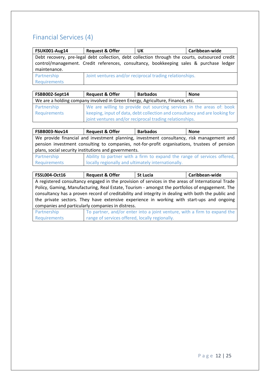#### <span id="page-11-0"></span>Financial Services (4)

| <b>FSUK001-Aug14</b> | <b>Request &amp; Offer</b>                                                                      | UK                                                      | Caribbean-wide |  |  |
|----------------------|-------------------------------------------------------------------------------------------------|---------------------------------------------------------|----------------|--|--|
|                      | Debt recovery, pre-legal debt collection, debt collection through the courts, outsourced credit |                                                         |                |  |  |
|                      | control/management. Credit references, consultancy, bookkeeping sales & purchase ledger         |                                                         |                |  |  |
| maintenance.         |                                                                                                 |                                                         |                |  |  |
| Partnership          |                                                                                                 | Joint ventures and/or reciprocal trading relationships. |                |  |  |
| <b>Requirements</b>  |                                                                                                 |                                                         |                |  |  |

| FSBB002-Sept14                                                                | <b>Request &amp; Offer</b>                              | <b>Barbados</b>                                                             | <b>None</b> |
|-------------------------------------------------------------------------------|---------------------------------------------------------|-----------------------------------------------------------------------------|-------------|
| We are a holding company involved in Green Energy, Agriculture, Finance, etc. |                                                         |                                                                             |             |
| Partnership                                                                   |                                                         | We are willing to provide out sourcing services in the areas of: book       |             |
| Requirements                                                                  |                                                         | keeping, input of data, debt collection and consultancy and are looking for |             |
|                                                                               | joint ventures and/or reciprocal trading relationships. |                                                                             |             |

| <b>FSBB003-Nov14</b>                                 | <b>Request &amp; Offer</b>                                                                    | <b>Barbados</b>                                                                           | <b>None</b> |  |
|------------------------------------------------------|-----------------------------------------------------------------------------------------------|-------------------------------------------------------------------------------------------|-------------|--|
|                                                      |                                                                                               | We provide financial and investment planning, investment consultancy, risk management and |             |  |
|                                                      | pension investment consulting to companies, not-for-profit organisations, trustees of pension |                                                                                           |             |  |
| plans, social security institutions and governments. |                                                                                               |                                                                                           |             |  |
| Partnership                                          |                                                                                               | Ability to partner with a firm to expand the range of services offered,                   |             |  |
| Requirements                                         | locally regionally and ultimately internationally.                                            |                                                                                           |             |  |

| <b>FSSL004-Oct16</b>                              | <b>Request &amp; Offer</b>                                                                         | <b>St Lucia</b>                                                          | Caribbean-wide |  |
|---------------------------------------------------|----------------------------------------------------------------------------------------------------|--------------------------------------------------------------------------|----------------|--|
|                                                   | A registered consultancy engaged in the provision of services in the areas of International Trade  |                                                                          |                |  |
|                                                   | Policy, Gaming, Manufacturing, Real Estate, Tourism - amongst the portfolios of engagement. The    |                                                                          |                |  |
|                                                   | consultancy has a proven record of creditability and integrity in dealing with both the public and |                                                                          |                |  |
|                                                   | the private sectors. They have extensive experience in working with start-ups and ongoing          |                                                                          |                |  |
| companies and particularly companies in distress. |                                                                                                    |                                                                          |                |  |
| Partnership                                       |                                                                                                    | To partner, and/or enter into a joint venture, with a firm to expand the |                |  |
| Requirements                                      | range of services offered, locally regionally.                                                     |                                                                          |                |  |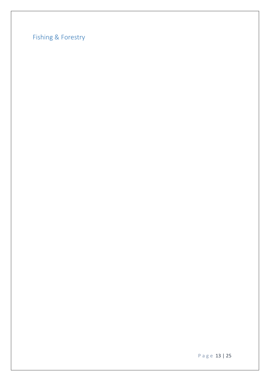<span id="page-12-0"></span>Fishing & Forestry

Page 13 | 25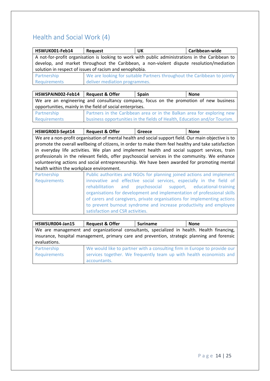#### <span id="page-13-0"></span>Health and Social Work (4)

| HSWUK001-Feb14                                          | Request                                                                                          | UK                                                                                       | Caribbean-wide |  |
|---------------------------------------------------------|--------------------------------------------------------------------------------------------------|------------------------------------------------------------------------------------------|----------------|--|
|                                                         | A not-for-profit organisation is looking to work with public administrations in the Caribbean to |                                                                                          |                |  |
|                                                         |                                                                                                  | develop, and market throughout the Caribbean, a non-violent dispute resolution/mediation |                |  |
| solution in respect of issues of racism and xenophobia. |                                                                                                  |                                                                                          |                |  |
| Partnership                                             |                                                                                                  | We are looking for suitable Partners throughout the Caribbean to jointly                 |                |  |
| Requirements                                            | deliver mediation programmes.                                                                    |                                                                                          |                |  |

**HSWSPAIN002-Feb14 Request & Offer Spain None** We are an engineering and consultancy company, focus on the promotion of new business opportunities, mainly in the field of social enterprises.

| Partnership  | Partners in the Caribbean area or in the Balkan area for exploring new    |
|--------------|---------------------------------------------------------------------------|
| Requirements | business opportunities in the fields of Health, Education and/or Tourism. |

| HSWGR003-Sept14                                                                                | <b>Request &amp; Offer</b>                                                                           | Greece                                                                | <b>None</b> |
|------------------------------------------------------------------------------------------------|------------------------------------------------------------------------------------------------------|-----------------------------------------------------------------------|-------------|
|                                                                                                | We are a non-profit organisation of mental health and social support field. Our main objective is to |                                                                       |             |
|                                                                                                | promote the overall wellbeing of citizens, in order to make them feel healthy and take satisfaction  |                                                                       |             |
|                                                                                                | in everyday life activities. We plan and implement health and social support services, train         |                                                                       |             |
| professionals in the relevant fields, offer psychosocial services in the community. We enhance |                                                                                                      |                                                                       |             |
| volunteering actions and social entrepreneurship. We have been awarded for promoting mental    |                                                                                                      |                                                                       |             |
| health within the workplace environment.                                                       |                                                                                                      |                                                                       |             |
| Partnership                                                                                    |                                                                                                      | Public authorities and NGOs for planning joined actions and implement |             |
| <b>Requirements</b>                                                                            |                                                                                                      | innovative and effective social services especially in the field of   |             |

| . <b>.</b>          | <b>TWO CONTRACT CARD AND TO DETERMINE TO A CONTRACT CARD OF A CONTRACT OF A CONTRACT OF A CONTRACT OF THE CARD OF</b> |
|---------------------|-----------------------------------------------------------------------------------------------------------------------|
| <b>Requirements</b> | innovative and effective social services, especially in the field of                                                  |
|                     | rehabilitation and psychosocial support, educational-training                                                         |
|                     | organisations for development and implementation of professional skills                                               |
|                     | of carers and caregivers, private organisations for implementing actions                                              |
|                     | to prevent burnout syndrome and increase productivity and employee                                                    |
|                     | satisfaction and CSR activities.                                                                                      |

| HSWSUR004-Jan15 | <b>Request &amp; Offer</b>                                                                   | <b>Suriname</b>                                                          | <b>None</b> |  |
|-----------------|----------------------------------------------------------------------------------------------|--------------------------------------------------------------------------|-------------|--|
|                 | We are management and organizational consultants, specialized in health. Health financing,   |                                                                          |             |  |
|                 | insurance, hospital management, primary care and prevention, strategic planning and forensic |                                                                          |             |  |
| evaluations.    |                                                                                              |                                                                          |             |  |
| Partnership     |                                                                                              | We would like to partner with a consulting firm in Europe to provide our |             |  |
| Requirements    |                                                                                              | services together. We frequently team up with health economists and      |             |  |
|                 | accountants.                                                                                 |                                                                          |             |  |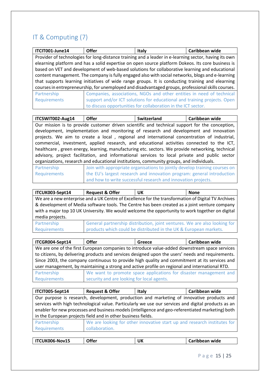### <span id="page-14-0"></span>IT & Computing (7)

| ITCIT001-June14                                                                                    | <b>Offer</b>                                                                                          | <b>Italy</b>                                                             | Caribbean wide |
|----------------------------------------------------------------------------------------------------|-------------------------------------------------------------------------------------------------------|--------------------------------------------------------------------------|----------------|
|                                                                                                    | Provider of technologies for long-distance training and a leader in e-learning sector, having its own |                                                                          |                |
|                                                                                                    | elearning platform and has a solid expertise on open source platform Dokeos. Its core business is     |                                                                          |                |
|                                                                                                    | based on VET and development of web-based solutions for collaborative learning and educational        |                                                                          |                |
|                                                                                                    | content management. The company is fully engaged also with social networks, blogs and e-learning      |                                                                          |                |
| that supports learning initiatives of wide range groups. It is conducting training and elearning   |                                                                                                       |                                                                          |                |
| courses in entrepreneurship, for unemployed and disadvantaged groups, professional skills courses. |                                                                                                       |                                                                          |                |
| Partnership                                                                                        |                                                                                                       | Companies, associations, NGOs and other entities in need of technical    |                |
| Requirements                                                                                       |                                                                                                       | support and/or ICT solutions for educational and training projects. Open |                |
|                                                                                                    |                                                                                                       | to discuss opportunities for collaboration in the ICT sector.            |                |

| ITCSWIT002-Aug14                                                                                 | <b>Offer</b>                                                                                   | Switzerland | Caribbean wide |  |
|--------------------------------------------------------------------------------------------------|------------------------------------------------------------------------------------------------|-------------|----------------|--|
|                                                                                                  | Our mission is to provide customer driven scientific and technical support for the conception, |             |                |  |
|                                                                                                  | development, implementation and monitoring of research and development and innovation          |             |                |  |
|                                                                                                  | projects. We aim to create a local, regional and international concentration of industrial,    |             |                |  |
|                                                                                                  | commercial, investment, applied research, and educational activities connected to the ICT,     |             |                |  |
| healthcare, green energy, learning, manufacturing etc. sectors. We provide networking, technical |                                                                                                |             |                |  |
|                                                                                                  | advisory, project facilitation, and informational services to local private and public sector  |             |                |  |
| organizations, research and educational institutions, community groups, and individuals.         |                                                                                                |             |                |  |

| Partnership  | Join with appropriate organisations to jointly develop training courses on |
|--------------|----------------------------------------------------------------------------|
| Requirements | the EU's largest research and innovation program: general introduction     |
|              | and how to write successful research and innovation projects.              |

| ITCUK003-Sept14                                                                                 | <b>Request &amp; Offer</b> | UK                                                                                                  | <b>None</b> |
|-------------------------------------------------------------------------------------------------|----------------------------|-----------------------------------------------------------------------------------------------------|-------------|
|                                                                                                 |                            | We are a new enterprise and a UK Centre of Excellence for the transformation of Digital TV Archives |             |
| & development of Media software tools. The Centre has been created as a joint venture company   |                            |                                                                                                     |             |
| with a major top 10 UK University. We would welcome the opportunity to work together on digital |                            |                                                                                                     |             |
| media projects.                                                                                 |                            |                                                                                                     |             |
| Partnership                                                                                     |                            | General partnership distribution, joint ventures. We are also looking for                           |             |
| Requirements                                                                                    |                            | products which could be distributed in the UK & European markets.                                   |             |

| ITCGR004-Sept14                                                                                | <b>Offer</b>                                                                                      | Greece                                                            | Caribbean wide |
|------------------------------------------------------------------------------------------------|---------------------------------------------------------------------------------------------------|-------------------------------------------------------------------|----------------|
|                                                                                                | We are one of the first European companies to introduce value-added downstream space services     |                                                                   |                |
|                                                                                                | to citizens, by delivering products and services designed upon the users' needs and requirements. |                                                                   |                |
| Since 2003, the company continuous to provide high quality and commitment at its services and  |                                                                                                   |                                                                   |                |
| user management, by maintaining a strong and active profile on regional and international RTD. |                                                                                                   |                                                                   |                |
| Partnership                                                                                    |                                                                                                   | We want to promote space applications for disaster management and |                |
| Requirements                                                                                   | security and are looking for local agents.                                                        |                                                                   |                |

| ITCIT005-Sept14                                                                                                                                                                                                                                                                                                                                                       | <b>Request &amp; Offer</b> | Italy | Caribbean wide |
|-----------------------------------------------------------------------------------------------------------------------------------------------------------------------------------------------------------------------------------------------------------------------------------------------------------------------------------------------------------------------|----------------------------|-------|----------------|
| Our purpose is research, development, production and marketing of innovative products and<br>services with high technological value. Particularly we use our services and digital products as an<br>enabler for new processes and business models (intelligence and geo-referentiated marketing) both<br>in the European projects field and in other business fields. |                            |       |                |
| We are looking for other innovative start up and research institutes for<br>Partnership<br>Requirements<br>collaboration.                                                                                                                                                                                                                                             |                            |       |                |

| ITCUK006-Nov15 | <b>Offer</b> | UK | Caribbean wide |
|----------------|--------------|----|----------------|
|                |              |    |                |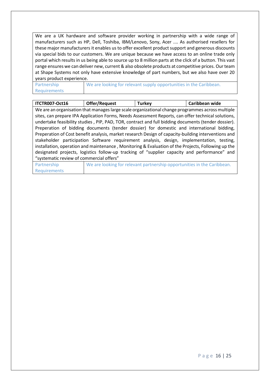We are a UK hardware and software provider working in partnership with a wide range of manufacturers such as HP, Dell, Toshiba, IBM/Lenovo, Sony, Acer .... As authorised resellers for these major manufacturers it enables us to offer excellent product support and generous discounts via special bids to our customers. We are unique because we have access to an online trade only portal which results in us being able to source up to 8 million parts at the click of a button. This vast range ensures we can deliver new, current & also obsolete products at competitive prices. Our team at Shape Systems not only have extensive knowledge of part numbers, but we also have over 20 years product experience.

Partnership Requirements We are looking for relevant supply opportunities in the Caribbean.

| ITCTR007-Oct16                                                                                     | Offer/Request                                                                                       | <b>Turkey</b>                                                           | Caribbean wide |
|----------------------------------------------------------------------------------------------------|-----------------------------------------------------------------------------------------------------|-------------------------------------------------------------------------|----------------|
|                                                                                                    | We are an organisation that manages large scale organizational change programmes across multiple    |                                                                         |                |
|                                                                                                    | sites, can prepare IPA Application Forms, Needs Assessment Reports, can offer technical solutions,  |                                                                         |                |
|                                                                                                    | undertake feasibility studies, PIP, PAD, TOR, contract and full bidding documents (tender dossier). |                                                                         |                |
|                                                                                                    | Preperation of bidding documents (tender dossier) for domestic and international bidding,           |                                                                         |                |
|                                                                                                    | Preperation of Cost benefit analysis, market research Design of capacity-building interventions and |                                                                         |                |
| stakeholder participation Software requirement analysis, design, implementation, testing,          |                                                                                                     |                                                                         |                |
| installation, operation and maintenance, Monitoring & Evaluation of the Projects, Following up the |                                                                                                     |                                                                         |                |
| designated projects, logistics follow-up tracking of "supplier capacity and performance" and       |                                                                                                     |                                                                         |                |
| "systematic review of commercial offers"                                                           |                                                                                                     |                                                                         |                |
| Partnership                                                                                        |                                                                                                     | We are looking for relevant partnership opportunities in the Caribbean. |                |
| <b>Requirements</b>                                                                                |                                                                                                     |                                                                         |                |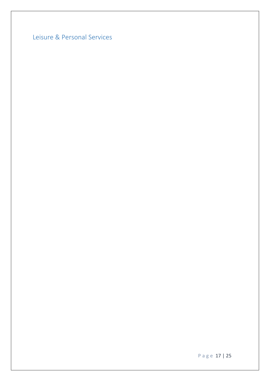<span id="page-16-0"></span>Leisure & Personal Services

P a g e 17 | 25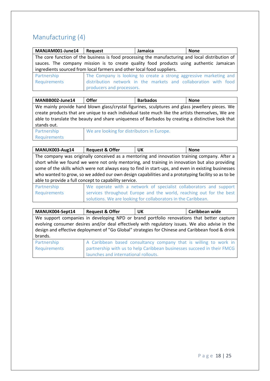### <span id="page-17-0"></span>Manufacturing (4)

| MANJAM001-June14 | Request                                                                                          | Jamaica                                                            | <b>None</b> |  |
|------------------|--------------------------------------------------------------------------------------------------|--------------------------------------------------------------------|-------------|--|
|                  | The core function of the business is food processing the manufacturing and local distribution of |                                                                    |             |  |
|                  | sauces. The company mission is to create quality food products using authentic Jamaican          |                                                                    |             |  |
|                  | ingredients sourced from local farmers and other local food suppliers.                           |                                                                    |             |  |
| Partnership      |                                                                                                  | The Company is looking to create a strong aggressive marketing and |             |  |
| Requirements     |                                                                                                  | distribution network in the markets and collaboration with food    |             |  |
|                  | producers and processors.                                                                        |                                                                    |             |  |

| MANBB002-June14                                                                                   | Offer                                                                                           | <b>Barbados</b> | <b>None</b> |  |
|---------------------------------------------------------------------------------------------------|-------------------------------------------------------------------------------------------------|-----------------|-------------|--|
|                                                                                                   | We mainly provide hand blown glass/crystal figurines, sculptures and glass jewellery pieces. We |                 |             |  |
| create products that are unique to each individual taste much like the artists themselves, We are |                                                                                                 |                 |             |  |
| able to translate the beauty and share uniqueness of Barbados by creating a distinctive look that |                                                                                                 |                 |             |  |
| stands out.                                                                                       |                                                                                                 |                 |             |  |
| Dortnorchin                                                                                       | We are looking for distributors in Europe                                                       |                 |             |  |

Partnership Requirements

|  | We are looking for distributors in Europe. |  |
|--|--------------------------------------------|--|
|  |                                            |  |

| MANUK003-Aug14                                                                                      | <b>Request &amp; Offer</b>                                                                     | UK                                                                                           | <b>None</b> |  |
|-----------------------------------------------------------------------------------------------------|------------------------------------------------------------------------------------------------|----------------------------------------------------------------------------------------------|-------------|--|
|                                                                                                     |                                                                                                | The company was originally conceived as a mentoring and innovation training company. After a |             |  |
|                                                                                                     | short while we found we were not only mentoring, and training in innovation but also providing |                                                                                              |             |  |
| some of the skills which were not always easy to find in start-ups, and even in existing businesses |                                                                                                |                                                                                              |             |  |
| who wanted to grow, so we added our own design capabilities and a prototyping facility so as to be  |                                                                                                |                                                                                              |             |  |
| able to provide a full concept to capability service.                                               |                                                                                                |                                                                                              |             |  |
| Partnership                                                                                         |                                                                                                | We operate with a network of specialist collaborators and support                            |             |  |

| Partnership  | We operate with a network of specialist collaborators and support   |
|--------------|---------------------------------------------------------------------|
| Requirements | services throughout Europe and the world, reaching out for the best |
|              | solutions. We are looking for collaborators in the Caribbean.       |

| MANUK004-Sept14             | <b>Request &amp; Offer</b>           | UK                                                                                                                                                                                                                                                                                               | Caribbean wide |
|-----------------------------|--------------------------------------|--------------------------------------------------------------------------------------------------------------------------------------------------------------------------------------------------------------------------------------------------------------------------------------------------|----------------|
| brands.                     |                                      | We support companies in developing NPD or brand portfolio renovations that better capture<br>evolving consumer desires and/or deal effectively with regulatory issues. We also advise in the<br>design and effective deployment of "Go Global" strategies for Chinese and Caribbean food & drink |                |
| Partnership<br>Requirements | launches and international rollouts. | A Caribbean based consultancy company that is willing to work in<br>partnership with us to help Caribbean businesses succeed in their FMCG                                                                                                                                                       |                |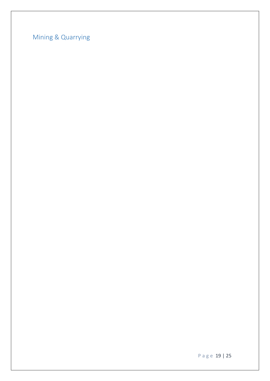<span id="page-18-0"></span>Mining & Quarrying

P a g e 19 | 25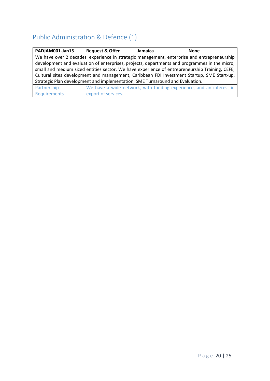### <span id="page-19-0"></span>Public Administration & Defence (1)

| PADJAM001-Jan15                                                                                | <b>Request &amp; Offer</b> | Jamaica                                                                                       | <b>None</b> |
|------------------------------------------------------------------------------------------------|----------------------------|-----------------------------------------------------------------------------------------------|-------------|
|                                                                                                |                            | We have over 2 decades' experience in strategic management, enterprise and entrepreneurship   |             |
|                                                                                                |                            | development and evaluation of enterprises, projects, departments and programmes in the micro, |             |
| small and medium sized entities sector. We have experience of entrepreneurship Training, CEFE, |                            |                                                                                               |             |
| Cultural sites development and management, Caribbean FDI Investment Startup, SME Start-up,     |                            |                                                                                               |             |
| Strategic Plan development and implementation, SME Turnaround and Evaluation.                  |                            |                                                                                               |             |
| Partnership                                                                                    |                            | We have a wide network, with funding experience, and an interest in                           |             |
| Requirements                                                                                   | export of services.        |                                                                                               |             |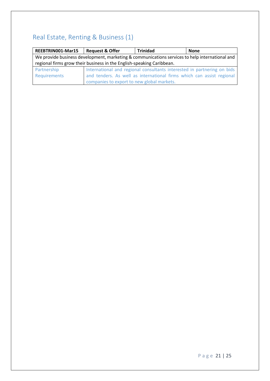### <span id="page-20-0"></span>Real Estate, Renting & Business (1)

| REEBTRIN001-Mar15                                                     | <b>Request &amp; Offer</b>                                                                     | <b>Trinidad</b>                                                         | None |  |  |
|-----------------------------------------------------------------------|------------------------------------------------------------------------------------------------|-------------------------------------------------------------------------|------|--|--|
|                                                                       | We provide business development, marketing & communications services to help international and |                                                                         |      |  |  |
| regional firms grow their business in the English-speaking Caribbean. |                                                                                                |                                                                         |      |  |  |
| Partnership                                                           |                                                                                                | International and regional consultants interested in partnering on bids |      |  |  |
| Requirements                                                          |                                                                                                | and tenders. As well as international firms which can assist regional   |      |  |  |
|                                                                       | companies to export to new global markets.                                                     |                                                                         |      |  |  |

P a g e 21 | 25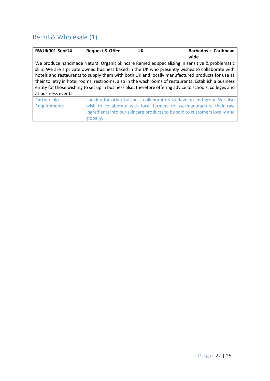#### <span id="page-21-0"></span>Retail & Wholesale (1)

| RWUK001-Sept14                                                                                          | <b>Request &amp; Offer</b>                                                                           | <b>UK</b>                                                                  | <b>Barbados + Caribbean</b> |
|---------------------------------------------------------------------------------------------------------|------------------------------------------------------------------------------------------------------|----------------------------------------------------------------------------|-----------------------------|
|                                                                                                         |                                                                                                      |                                                                            | wide                        |
|                                                                                                         | We produce handmade Natural Organic Skincare Remedies specialising in sensitive & problematic        |                                                                            |                             |
|                                                                                                         | skin. We are a private owned business based in the UK who presently wishes to collaborate with       |                                                                            |                             |
|                                                                                                         | hotels and restaurants to supply them with both UK and locally manufactured products for use as      |                                                                            |                             |
|                                                                                                         | their toiletry in hotel rooms, restrooms, also in the washrooms of restaurants. Establish a business |                                                                            |                             |
| entity for those wishing to set up in business also, therefore offering advice to schools, colleges and |                                                                                                      |                                                                            |                             |
| at business events.                                                                                     |                                                                                                      |                                                                            |                             |
| Partnership                                                                                             |                                                                                                      | Looking for other business collaborators to develop and grow. We also      |                             |
| <b>Requirements</b>                                                                                     | wish to collaborate with local farmers to use/manufacture their raw                                  |                                                                            |                             |
|                                                                                                         |                                                                                                      | ingredients into our skincare products to be sold to customers locally and |                             |
|                                                                                                         | globally.                                                                                            |                                                                            |                             |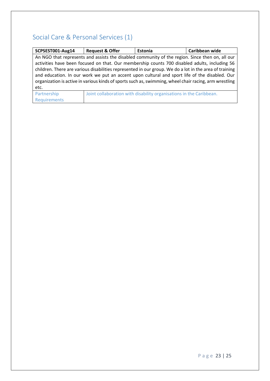#### <span id="page-22-0"></span>Social Care & Personal Services (1)

| SCPSEST001-Aug14                                                                                       | <b>Request &amp; Offer</b>                                                                             | Estonia                                                             | Caribbean wide |
|--------------------------------------------------------------------------------------------------------|--------------------------------------------------------------------------------------------------------|---------------------------------------------------------------------|----------------|
|                                                                                                        | An NGO that represents and assists the disabled community of the region. Since then on, all our        |                                                                     |                |
|                                                                                                        | activities have been focused on that. Our membership counts 700 disabled adults, including 56          |                                                                     |                |
|                                                                                                        | children. There are various disabilities represented in our group. We do a lot in the area of training |                                                                     |                |
| and education. In our work we put an accent upon cultural and sport life of the disabled. Our          |                                                                                                        |                                                                     |                |
| organization is active in various kinds of sports such as, swimming, wheel chair racing, arm wrestling |                                                                                                        |                                                                     |                |
| etc.                                                                                                   |                                                                                                        |                                                                     |                |
| Partnership                                                                                            |                                                                                                        | Joint collaboration with disability organisations in the Caribbean. |                |
| Requirements                                                                                           |                                                                                                        |                                                                     |                |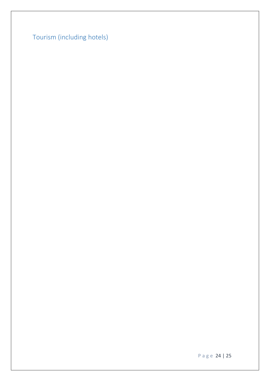<span id="page-23-0"></span>Tourism (including hotels)

P a g e 24 | 25